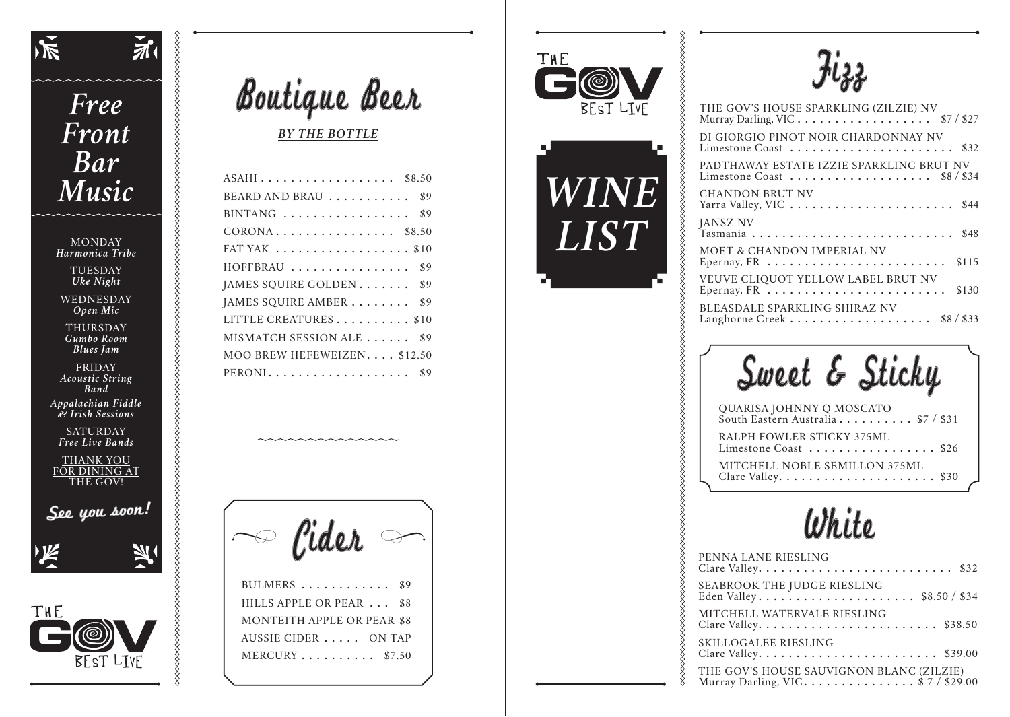

## **Free** Front **Bar** Music

 $\boldsymbol{\check{\pi}}$ 

8888888

%%%%%%%%%%%%%%%%%%%%%%%%%%%%%%%%%

**XXXXXXXXXXXXXXXX** 

**MONDAY** Harmonica Tribe **TUESDAY** Uke Night

WEDNESDAY Open Mic

THURSDAY Gumbo Room **Blues** Jam

**FRIDAY** Acoustic String **Band** 

Appalachian Fiddle es Irish Sessions

**SATURDAY** Free Live Bands

**THANK YOU FOR DINING AT THE GOV!** 

See you soon!







## $ASAH1..................$  \$8.50 BEARD AND BRAU  $\ldots \ldots \ldots$  \$9  $CORONA$ ................ \$8.50 FAT YAK  $\ldots$   $\ldots$   $\ldots$   $\ldots$   $\ldots$  \$10 HOFFBRAU ................ \$9 JAMES SQUIRE GOLDEN....... \$9 JAMES SQUIRE AMBER ....... \$9 LITTLE CREATURES.......... \$10 MISMATCH SESSION ALE . . . . . . \$9 MOO BREW HEFEWEIZEN.... \$12.50 PERONI................... \$9

Cider -

BULMERS ...........  $$9$ HILLS APPLE OR PEAR ... \$8 **MONTEITH APPLE OR PEAR \$8** AUSSIE CIDER . . . . . ON TAP MERCURY.......... \$7.50







| THE GOV'S HOUSE SPARKLING (ZILZIE) NV<br>Murray Darling, VIC \$7 / \$27                                                |
|------------------------------------------------------------------------------------------------------------------------|
| DI GIORGIO PINOT NOIR CHARDONNAY NV                                                                                    |
| PADTHAWAY ESTATE IZZIE SPARKLING BRUT NV<br>Limestone Coast $\ldots \ldots \ldots \ldots \ldots$ \$8/\$34              |
| <b>CHANDON BRUT NV</b><br>\$44                                                                                         |
| <b>JANSZ NV</b><br>\$48                                                                                                |
| MOET & CHANDON IMPERIAL NV<br>\$115                                                                                    |
| <b>VEUVE CLIQUOT YELLOW LABEL BRUT NV</b><br>\$130                                                                     |
| BLEASDALE SPARKLING SHIRAZ NV<br>Langhorne Creek $\cdots$ $\cdots$ $\cdots$ $\cdots$ $\cdots$ $\cdots$ $\cdots$ 88/833 |

Sweet & Sticky

| QUARISA JOHNNY Q MOSCATO<br>South Eastern Australia \$7 / \$31 |
|----------------------------------------------------------------|
| RALPH FOWLER STICKY 375ML<br>Limestone Coast \$26              |
| MITCHELL NOBLE SEMILLON 375ML                                  |



| PENNA LANE RIESLING                                                           |
|-------------------------------------------------------------------------------|
| SEABROOK THE JUDGE RIESLING                                                   |
| MITCHELL WATERVALE RIESLING                                                   |
| <b>SKILLOGALEE RIESLING</b>                                                   |
| THE GOV'S HOUSE SAUVIGNON BLANC (ZILZIE)<br>Murray Darling, VIC $$7 / $29.00$ |